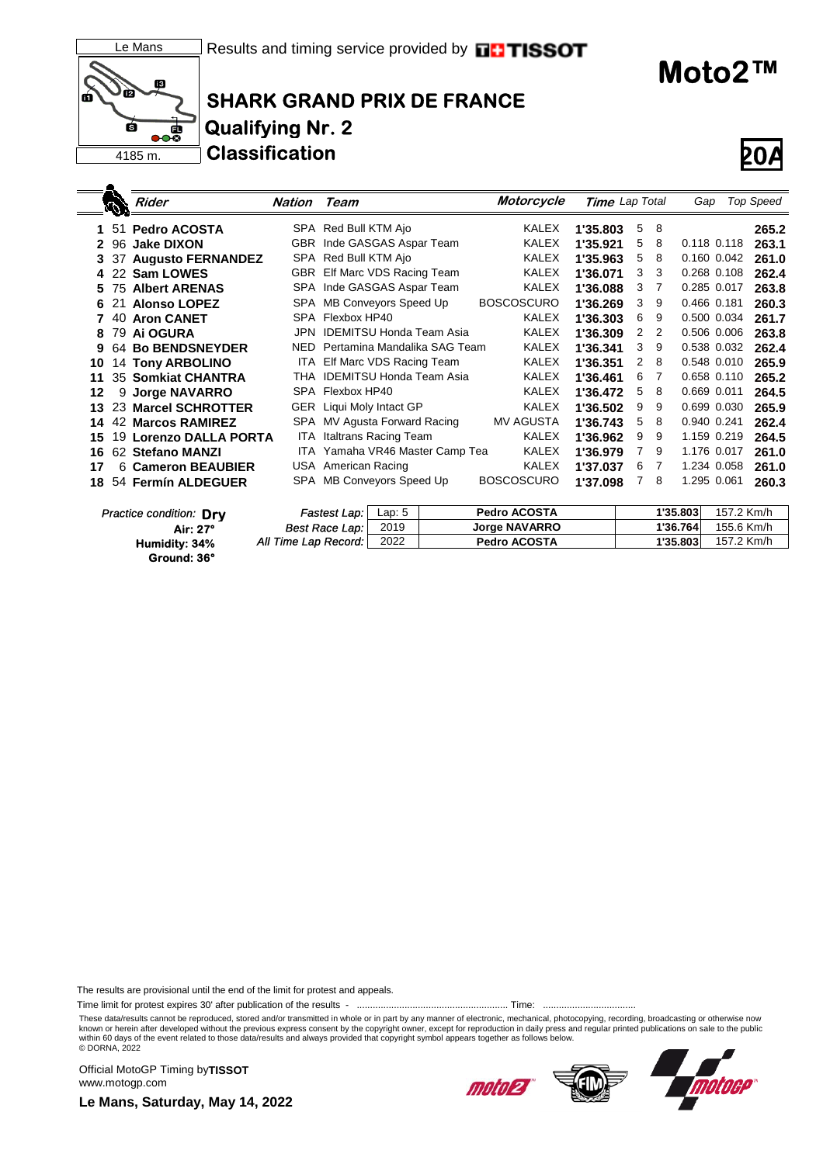



٠

# **SHARK GRAND PRIX DE FRANCE Qualifying Nr. 2 Classification 20A**



**Moto2™**

|    |     | <b>Rider</b>              | Nation | Team                            | Motorcycle        | Time Lap Total |   |   | Gap         |            | <b>Top Speed</b> |
|----|-----|---------------------------|--------|---------------------------------|-------------------|----------------|---|---|-------------|------------|------------------|
|    | -51 | <b>Pedro ACOSTA</b>       |        | SPA Red Bull KTM Ajo            | KALEX             | 1'35.803       | 5 | 8 |             |            | 265.2            |
| 2  | 96  | <b>Jake DIXON</b>         |        | GBR Inde GASGAS Aspar Team      | <b>KALEX</b>      | 1'35.921       | 5 | 8 | 0.118 0.118 |            | 263.1            |
| 3. | 37  | <b>Augusto FERNANDEZ</b>  |        | SPA Red Bull KTM Ajo            | <b>KALEX</b>      | 1'35.963       | 5 | 8 | 0.160 0.042 |            | 261.0            |
| 4  |     | 22 Sam LOWES              |        | GBR Elf Marc VDS Racing Team    | <b>KALEX</b>      | 1'36.071       | 3 | 3 | 0.268 0.108 |            | 262.4            |
| 5. |     | <b>75 Albert ARENAS</b>   |        | SPA Inde GASGAS Aspar Team      | <b>KALEX</b>      | 1'36.088       | 3 | 7 | 0.285 0.017 |            | 263.8            |
| 6  | 21  | <b>Alonso LOPEZ</b>       | SPA    | MB Conveyors Speed Up           | <b>BOSCOSCURO</b> | 1'36.269       | 3 | 9 | 0.466 0.181 |            | 260.3            |
|    |     | 40 Aron CANET             |        | SPA Flexbox HP40                | <b>KALEX</b>      | 1'36.303       | 6 | 9 | 0.500 0.034 |            | 261.7            |
| 8  |     | 79 Ai OGURA               | JPN    | <b>IDEMITSU Honda Team Asia</b> | <b>KALEX</b>      | 1'36.309       | 2 | 2 | 0.506 0.006 |            | 263.8            |
| 9  |     | 64 Bo BENDSNEYDER         | NED.   | Pertamina Mandalika SAG Team    | <b>KALEX</b>      | 1'36.341       | 3 | 9 | 0.538 0.032 |            | 262.4            |
| 10 |     | <b>14 Tony ARBOLINO</b>   |        | ITA Elf Marc VDS Racing Team    | KALEX             | 1'36.351       | 2 | 8 | 0.548 0.010 |            | 265.9            |
| 11 |     | <b>35 Somkiat CHANTRA</b> | THA    | <b>IDEMITSU Honda Team Asia</b> | <b>KALEX</b>      | 1'36.461       | 6 | 7 | 0.658 0.110 |            | 265.2            |
| 12 | 9   | <b>Jorge NAVARRO</b>      |        | SPA Flexbox HP40                | <b>KALEX</b>      | 1'36.472       | 5 | 8 | 0.669 0.011 |            | 264.5            |
| 13 |     | 23 Marcel SCHROTTER       |        | GER Liqui Moly Intact GP        | <b>KALEX</b>      | 1'36.502       | 9 | 9 | 0.699 0.030 |            | 265.9            |
| 14 |     | <b>42 Marcos RAMIREZ</b>  | SPA    | MV Agusta Forward Racing        | <b>MV AGUSTA</b>  | 1'36.743       | 5 | 8 | 0.940 0.241 |            | 262.4            |
| 15 |     | 19 Lorenzo DALLA PORTA    | ITA.   | Italtrans Racing Team           | <b>KALEX</b>      | 1'36.962       | 9 | 9 | 1.159 0.219 |            | 264.5            |
| 16 |     | 62 Stefano MANZI          |        | ITA Yamaha VR46 Master Camp Tea | <b>KALEX</b>      | 1'36.979       | 7 | 9 | 1.176 0.017 |            | 261.0            |
| 17 |     | 6 Cameron BEAUBIER        |        | USA American Racing             | <b>KALEX</b>      | 1'37.037       | 6 | 7 | 1.234 0.058 |            | 261.0            |
| 18 |     | 54 Fermín ALDEGUER        |        | SPA MB Conveyors Speed Up       | <b>BOSCOSCURO</b> | 1'37.098       | 7 | 8 | 1.295 0.061 |            | 260.3            |
|    |     | Practice condition: Drv   |        | Lap: $5$<br>Fastest Lap:        | Pedro ACOSTA      |                |   |   | 1'35.803    | 157.2 Km/h |                  |

| actice condition: Drv | Fastest Lap:         | Lap: 5 | <b>Pedro ACOSTA</b>  | 1'35.803 | 157.2 Km/h |
|-----------------------|----------------------|--------|----------------------|----------|------------|
| Air: 27°              | Best Race Lap:       | 2019   | <b>Jorge NAVARRO</b> | 1'36.764 | 155.6 Km/h |
| Humidity: 34%         | All Time Lap Record: | 2022   | <b>Pedro ACOSTA</b>  | 1'35.803 | 157.2 Km/h |
| Ground: 36°           |                      |        |                      |          |            |

The results are provisional until the end of the limit for protest and appeals.

Time limit for protest expires 30' after publication of the results - ......................................................... Time: ...................................

These data/results cannot be reproduced, stored and/or transmitted in whole or in part by any manner of electronic, mechanical, photocopying, recording, broadcasting or otherwise now<br>known or herein after developed without within 60 days of the event related to those data/results and always provided that copyright symbol appears together as follows below. © DORNA, 2022

Official MotoGP Timing by **TISSOT**www.motogp.com



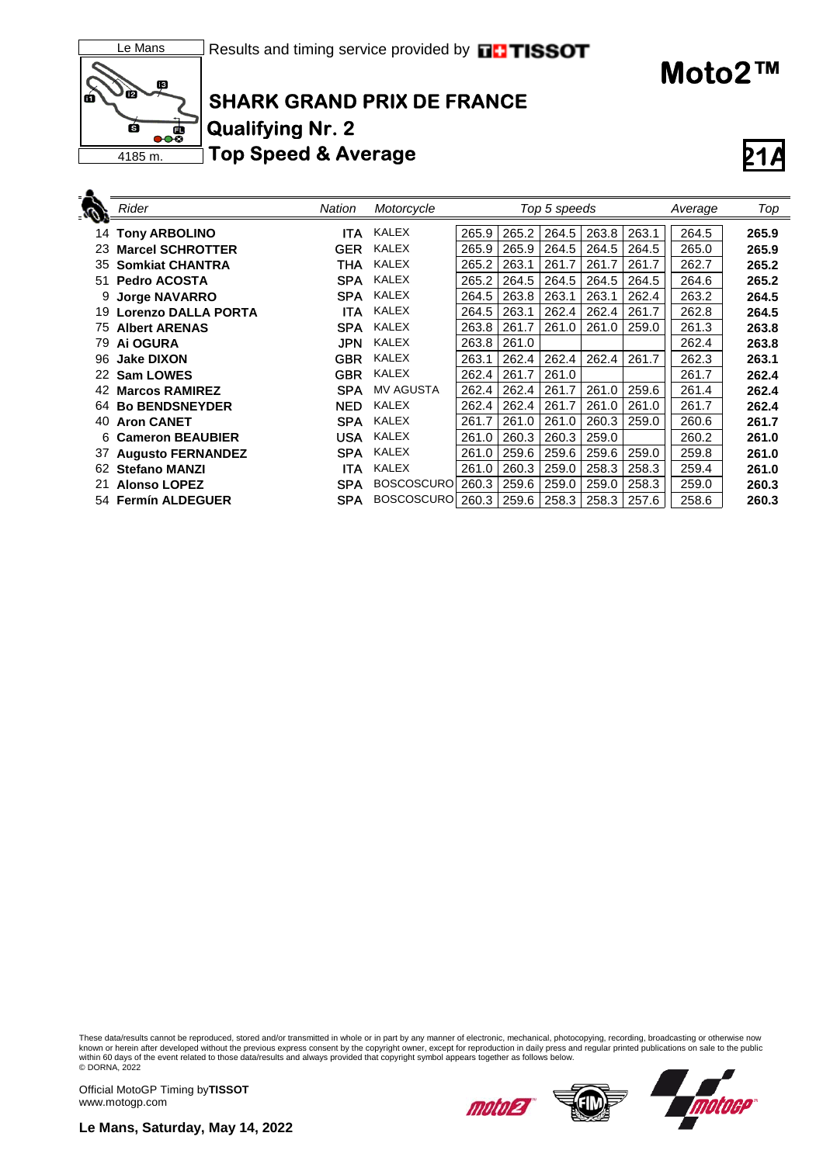

#### Results and timing service provided by **FFITISSOT**

## **SHARK GRAND PRIX DE FRANCE Qualifying Nr. 2 Top Speed & Average**

|    | <b>Rider</b>               | Nation     | Motorcycle        |       |       | Top 5 speeds |       |       | Average | Top   |
|----|----------------------------|------------|-------------------|-------|-------|--------------|-------|-------|---------|-------|
|    | <b>14 Tony ARBOLINO</b>    | ITA        | <b>KALEX</b>      | 265.9 | 265.2 | 264.5        | 263.8 | 263.1 | 264.5   | 265.9 |
|    | 23 Marcel SCHROTTER        | GER        | KALEX             | 265.9 | 265.9 | 264.5        | 264.5 | 264.5 | 265.0   | 265.9 |
| 35 | <b>Somkiat CHANTRA</b>     | THA        | <b>KALEX</b>      | 265.2 | 263.1 | 261.7        | 261.7 | 261.7 | 262.7   | 265.2 |
| 51 | <b>Pedro ACOSTA</b>        | <b>SPA</b> | <b>KALEX</b>      | 265.2 | 264.5 | 264.5        | 264.5 | 264.5 | 264.6   | 265.2 |
| 9  | <b>Jorge NAVARRO</b>       | <b>SPA</b> | <b>KALEX</b>      | 264.5 | 263.8 | 263.1        | 263.1 | 262.4 | 263.2   | 264.5 |
| 19 | <b>Lorenzo DALLA PORTA</b> | ITA        | <b>KALEX</b>      | 264.5 | 263.1 | 262.4        | 262.4 | 261.7 | 262.8   | 264.5 |
| 75 | <b>Albert ARENAS</b>       | <b>SPA</b> | <b>KALEX</b>      | 263.8 | 261.7 | 261.0        | 261.0 | 259.0 | 261.3   | 263.8 |
| 79 | Ai OGURA                   | <b>JPN</b> | <b>KALEX</b>      | 263.8 | 261.0 |              |       |       | 262.4   | 263.8 |
| 96 | <b>Jake DIXON</b>          | <b>GBR</b> | <b>KALEX</b>      | 263.1 | 262.4 | 262.4        | 262.4 | 261.7 | 262.3   | 263.1 |
|    | 22 Sam LOWES               | <b>GBR</b> | <b>KALEX</b>      | 262.4 | 261.7 | 261.0        |       |       | 261.7   | 262.4 |
| 42 | <b>Marcos RAMIREZ</b>      | <b>SPA</b> | <b>MV AGUSTA</b>  | 262.4 | 262.4 | 261.7        | 261.0 | 259.6 | 261.4   | 262.4 |
| 64 | <b>Bo BENDSNEYDER</b>      | <b>NED</b> | <b>KALEX</b>      | 262.4 | 262.4 | 261.7        | 261.0 | 261.0 | 261.7   | 262.4 |
| 40 | <b>Aron CANET</b>          | <b>SPA</b> | <b>KALEX</b>      | 261.7 | 261.0 | 261.0        | 260.3 | 259.0 | 260.6   | 261.7 |
|    | 6 Cameron BEAUBIER         | <b>USA</b> | <b>KALEX</b>      | 261.0 | 260.3 | 260.3        | 259.0 |       | 260.2   | 261.0 |
| 37 | <b>Augusto FERNANDEZ</b>   | <b>SPA</b> | <b>KALEX</b>      | 261.0 | 259.6 | 259.6        | 259.6 | 259.0 | 259.8   | 261.0 |
|    | 62 Stefano MANZI           | <b>ITA</b> | <b>KALEX</b>      | 261.0 | 260.3 | 259.0        | 258.3 | 258.3 | 259.4   | 261.0 |
| 21 | <b>Alonso LOPEZ</b>        | <b>SPA</b> | <b>BOSCOSCURO</b> | 260.3 | 259.6 | 259.0        | 259.0 | 258.3 | 259.0   | 260.3 |
|    | 54 Fermín ALDEGUER         | <b>SPA</b> | <b>BOSCOSCURO</b> | 260.3 | 259.6 | 258.3        | 258.3 | 257.6 | 258.6   | 260.3 |
|    |                            |            |                   |       |       |              |       |       |         |       |

These data/results cannot be reproduced, stored and/or transmitted in whole or in part by any manner of electronic, mechanical, photocopying, recording, broadcasting or otherwise now<br>known or herein after developed without

Official MotoGP Timing by **TISSOT**www.motogp.com





**Le Mans, Saturday, May 14, 2022**



**Moto2™**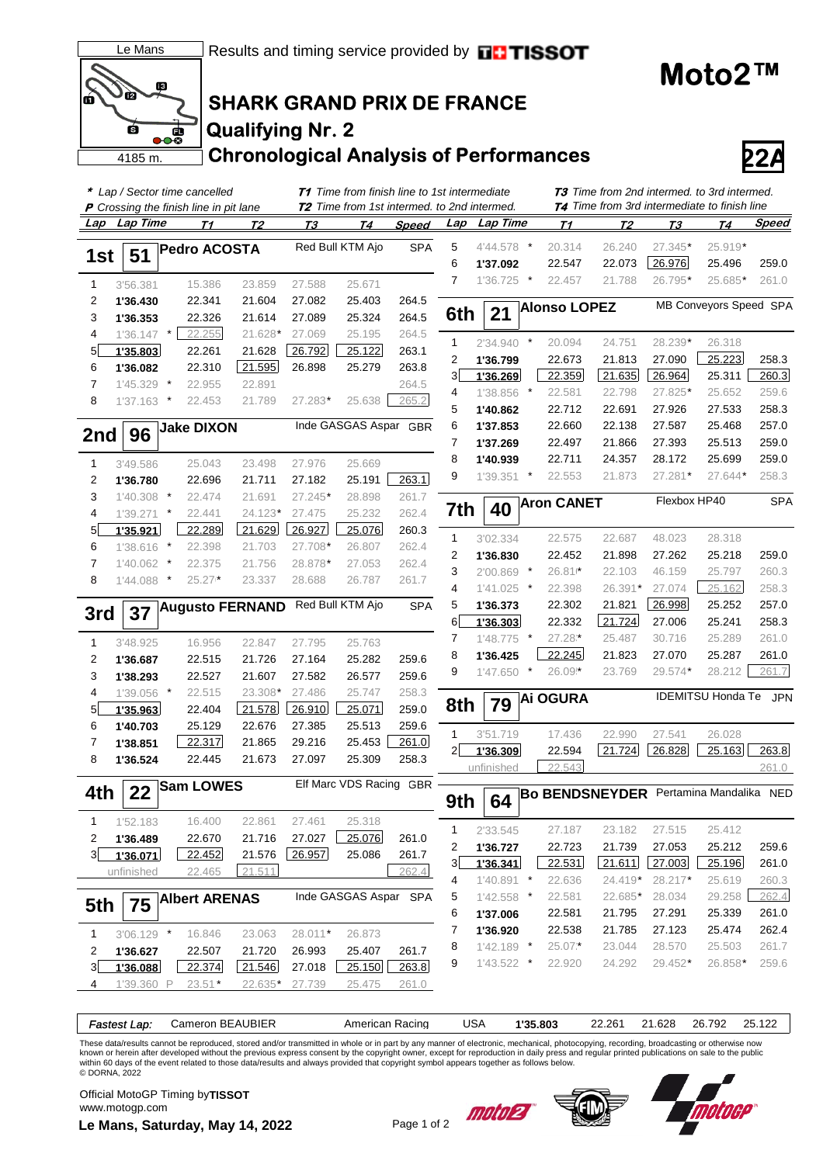



# **SHARK GRAND PRIX DE FRANCE Qualifying Nr. 2**

**Chronological Analysis of Performances 22A**

|              |              |                          | * Lap / Sector time cancelled                 |           | <b>T1</b> Time from finish line to 1st intermediate<br><b>T2</b> Time from 1st intermed. to 2nd intermed. |                       |              |                | <b>T3</b> Time from 2nd intermed. to 3rd intermed.<br><b>74</b> Time from 3rd intermediate to finish line |            |                     |                       |              |                          |            |
|--------------|--------------|--------------------------|-----------------------------------------------|-----------|-----------------------------------------------------------------------------------------------------------|-----------------------|--------------|----------------|-----------------------------------------------------------------------------------------------------------|------------|---------------------|-----------------------|--------------|--------------------------|------------|
|              |              |                          | <b>P</b> Crossing the finish line in pit lane |           |                                                                                                           |                       |              |                |                                                                                                           |            |                     |                       |              |                          |            |
| Lap          | Lap Time     |                          | Т1                                            | T2        | Т3                                                                                                        | Т4                    | <b>Speed</b> | Lap            | Lap Time                                                                                                  |            | <u>71</u>           | T2                    | <b>T3</b>    | T <sub>4</sub>           | Speed      |
|              |              |                          | <b>Pedro ACOSTA</b>                           |           |                                                                                                           | Red Bull KTM Ajo      | <b>SPA</b>   | 5              | 4'44.578 *                                                                                                |            | 20.314              | 26.240                | 27.345*      | 25.919*                  |            |
| 1st          | 51           |                          |                                               |           |                                                                                                           |                       |              | 6              | 1'37.092                                                                                                  |            | 22.547              | 22.073                | 26.976       | 25.496                   | 259.0      |
| 1            | 3'56.381     |                          | 15.386                                        | 23.859    | 27.588                                                                                                    | 25.671                |              | $\overline{7}$ | 1'36.725 *                                                                                                |            | 22.457              | 21.788                | 26.795*      | 25.685*                  | 261.0      |
| 2            | 1'36.430     |                          | 22.341                                        | 21.604    | 27.082                                                                                                    | 25.403                | 264.5        |                |                                                                                                           |            |                     |                       |              |                          |            |
| 3            | 1'36.353     |                          | 22.326                                        | 21.614    | 27.089                                                                                                    | 25.324                | 264.5        | 6th            | 21                                                                                                        |            | <b>Alonso LOPEZ</b> |                       |              | MB Conveyors Speed SPA   |            |
| 4            | 1'36.147     | $\star$                  | 22.255                                        | 21.628*   | 27.069                                                                                                    | 25.195                | 264.5        |                |                                                                                                           |            |                     |                       |              |                          |            |
| 5            | 1'35.803     |                          | 22.261                                        | 21.628    | 26.792                                                                                                    | 25.122                | 263.1        | $\mathbf{1}$   | $2'34.940$ *                                                                                              |            | 20.094              | 24.751                | 28.239*      | 26.318                   |            |
| 6            | 1'36.082     |                          | 22.310                                        | 21.595    | 26.898                                                                                                    | 25.279                | 263.8        | 2              | 1'36.799                                                                                                  |            | 22.673              | 21.813                | 27.090       | 25.223                   | 258.3      |
| 7            | 1'45.329     | $\overline{\phantom{a}}$ | 22.955                                        | 22.891    |                                                                                                           |                       | 264.5        | 3              | 1'36.269                                                                                                  |            | 22.359              | 21.635                | 26.964       | 25.311                   | 260.3      |
| 8            | 1'37.163     | $\cdot$                  | 22.453                                        | 21.789    | 27.283*                                                                                                   | 25.638                | 265.2        | 4              | 1'38.856                                                                                                  | $\star$    | 22.581              | 22.798                | 27.825*      | 25.652                   | 259.6      |
|              |              |                          |                                               |           |                                                                                                           |                       |              | 5              | 1'40.862                                                                                                  |            | 22.712              | 22.691                | 27.926       | 27.533                   | 258.3      |
| 2nd          | 96           |                          | <b>Jake DIXON</b>                             |           |                                                                                                           | Inde GASGAS Aspar GBR |              | 6              | 1'37.853                                                                                                  |            | 22.660              | 22.138                | 27.587       | 25.468                   | 257.0      |
|              |              |                          |                                               |           |                                                                                                           |                       |              | 7              | 1'37.269                                                                                                  |            | 22.497              | 21.866                | 27.393       | 25.513                   | 259.0      |
| 1            | 3'49.586     |                          | 25.043                                        | 23.498    | 27.976                                                                                                    | 25.669                |              | 8              | 1'40.939                                                                                                  |            | 22.711              | 24.357                | 28.172       | 25.699                   | 259.0      |
| 2            | 1'36.780     |                          | 22.696                                        | 21.711    | 27.182                                                                                                    | 25.191                | 263.1        | 9              | 1'39.351                                                                                                  | $\cdot$    | 22.553              | 21.873                | 27.281*      | 27.644*                  | 258.3      |
| 3            | 1'40.308     | $\cdot$                  | 22.474                                        | 21.691    | 27.245*                                                                                                   | 28.898                | 261.7        |                |                                                                                                           |            |                     |                       | Flexbox HP40 |                          | <b>SPA</b> |
| 4            | 1'39.271     | $\ast$                   | 22.441                                        | $24.123*$ | 27.475                                                                                                    | 25.232                | 262.4        | 7th            | 40                                                                                                        |            | <b>Aron CANET</b>   |                       |              |                          |            |
| 5            | 1'35.921     |                          | 22.289                                        | 21.629    | 26.927                                                                                                    | 25.076                | 260.3        |                |                                                                                                           |            |                     |                       |              |                          |            |
| 6            | 1'38.616     | $\star$                  | 22.398                                        | 21.703    | 27.708*                                                                                                   | 26.807                | 262.4        | 1              | 3'02.334                                                                                                  |            | 22.575              | 22.687                | 48.023       | 28.318                   |            |
| 7            | 1'40.062     | $\ast$                   | 22.375                                        | 21.756    | 28.878*                                                                                                   | 27.053                | 262.4        | 2              | 1'36.830                                                                                                  |            | 22.452              | 21.898                | 27.262       | 25.218                   | 259.0      |
| 8            | 1'44.088     | $\ast$                   | 25.27                                         | 23.337    | 28.688                                                                                                    | 26.787                | 261.7        | 3              | 2'00.869                                                                                                  | $^{\star}$ | $26.81*$            | 22.103                | 46.159       | 25.797                   | 260.3      |
|              |              |                          |                                               |           |                                                                                                           |                       |              | 4              | 1'41.025                                                                                                  | $^{\star}$ | 22.398              | 26.391*               | 27.074       | 25.162                   | 258.3      |
| 3rd          | 37           |                          | <b>Augusto FERNAND</b>                        |           |                                                                                                           | Red Bull KTM Ajo      | <b>SPA</b>   | 5              | 1'36.373                                                                                                  |            | 22.302              | 21.821                | 26.998       | 25.252                   | 257.0      |
|              |              |                          |                                               |           |                                                                                                           |                       |              | 6              | 1'36.303                                                                                                  |            | 22.332              | 21.724                | 27.006       | 25.241                   | 258.3      |
| 1            | 3'48.925     |                          | 16.956                                        | 22.847    | 27.795                                                                                                    | 25.763                |              | $\overline{7}$ | 1'48.775                                                                                                  | $^{\star}$ | 27.28*              | 25.487                | 30.716       | 25.289                   | 261.0      |
| 2            | 1'36.687     |                          | 22.515                                        | 21.726    | 27.164                                                                                                    | 25.282                | 259.6        | 8              | 1'36.425                                                                                                  |            | 22.245              | 21.823                | 27.070       | 25.287                   | 261.0      |
| 3            | 1'38.293     |                          | 22.527                                        | 21.607    | 27.582                                                                                                    | 26.577                | 259.6        | 9              | $1'47.650$ *                                                                                              |            | 26.09*              | 23.769                | 29.574*      | 28.212                   | 261.7      |
| 4            | 1'39.056 *   |                          | 22.515                                        | 23.308*   | 27.486                                                                                                    | 25.747                | 258.3        |                |                                                                                                           |            | <b>Ai OGURA</b>     |                       |              | <b>IDEMITSU Honda Te</b> | <b>JPN</b> |
| 5            | 1'35.963     |                          | 22.404                                        | 21.578    | 26.910                                                                                                    | 25.071                | 259.0        | 8th            | 79                                                                                                        |            |                     |                       |              |                          |            |
| 6            | 1'40.703     |                          | 25.129                                        | 22.676    | 27.385                                                                                                    | 25.513                | 259.6        |                |                                                                                                           |            |                     |                       |              |                          |            |
| 7            | 1'38.851     |                          | 22.317                                        | 21.865    | 29.216                                                                                                    | 25.453                | 261.0        | $\mathbf{1}$   | 3'51.719                                                                                                  |            | 17.436              | 22.990                | 27.541       | 26.028                   |            |
| 8            | 1'36.524     |                          | 22.445                                        | 21.673    | 27.097                                                                                                    | 25.309                | 258.3        | $\overline{2}$ | 1'36.309                                                                                                  |            | 22.594              | 21.724                | 26.828       | 25.163                   | 263.8      |
|              |              |                          |                                               |           |                                                                                                           |                       |              |                | unfinished                                                                                                |            | 22.543              |                       |              |                          | 261.0      |
| 4th          | 22           |                          | <b>Sam LOWES</b>                              |           |                                                                                                           | Elf Marc VDS Racing   | <b>GBR</b>   | 9th            | 64                                                                                                        |            |                     | <b>Bo BENDSNEYDER</b> |              | Pertamina Mandalika NED  |            |
| 1            | 1'52.183     |                          | 16.400                                        | 22.861    | 27.461                                                                                                    | 25.318                |              |                |                                                                                                           |            |                     |                       |              |                          |            |
| 2            | 1'36.489     |                          | 22.670                                        | 21.716    | 27.027                                                                                                    | 25.076                | 261.0        | $\mathbf{1}$   | 2'33.545                                                                                                  |            | 27.187              | 23.182                | 27.515       | 25.412                   |            |
| 3            | 1'36.071     |                          | 22.452                                        | 21.576    | 26.957                                                                                                    | 25.086                | 261.7        | 2              | 1'36.727                                                                                                  |            | 22.723              | 21.739                | 27.053       | 25.212                   | 259.6      |
|              | unfinished   |                          | 22.465                                        | 21.511    |                                                                                                           |                       | 262.4        | 3 <sup>1</sup> | 1'36.341                                                                                                  |            | 22.531              | 21.611                | 27.003       | 25.196                   | 261.0      |
|              |              |                          |                                               |           |                                                                                                           |                       |              | 4              | $1'40.891$ *                                                                                              |            | 22.636              | 24.419*               | 28.217*      | 25.619                   | 260.3      |
| 5th          | 75           |                          | <b>Albert ARENAS</b>                          |           |                                                                                                           | Inde GASGAS Aspar SPA |              | 5              | 1'42.558                                                                                                  | $\ast$     | 22.581              | 22.685*               | 28.034       | 29.258                   | 262.4      |
|              |              |                          |                                               |           |                                                                                                           |                       |              | 6              | 1'37.006                                                                                                  |            | 22.581              | 21.795                | 27.291       | 25.339                   | 261.0      |
| $\mathbf{1}$ | $3'06.129$ * |                          | 16.846                                        | 23.063    | 28.011*                                                                                                   | 26.873                |              | 7              | 1'36.920                                                                                                  |            | 22.538              | 21.785                | 27.123       | 25.474                   | 262.4      |
| 2            | 1'36.627     |                          | 22.507                                        | 21.720    | 26.993                                                                                                    | 25.407                | 261.7        | 8              | 1'42.189                                                                                                  | $\star$    | 25.07*              | 23.044                | 28.570       | 25.503                   | 261.7      |
| 3            | 1'36.088     |                          | 22.374                                        | 21.546    | 27.018                                                                                                    | 25.150                | 263.8        | 9              | 1'43.522                                                                                                  | $\cdot$    | 22.920              | 24.292                | 29.452*      | 26.858*                  | 259.6      |
| 4            | 1'39.360 P   |                          | $23.51*$                                      | 22.635*   | 27.739                                                                                                    | 25.475                | 261.0        |                |                                                                                                           |            |                     |                       |              |                          |            |
|              |              |                          |                                               |           |                                                                                                           |                       |              |                |                                                                                                           |            |                     |                       |              |                          |            |

These data/results cannot be reproduced, stored and/or transmitted in whole or in part by any manner of electronic, mechanical, photocopying, recording, broadcasting or otherwise now<br>known or herein after developed without © DORNA, 2022

*Fastest Lap:* Cameron BEAUBIER American Racing USA **1'35.803** 22.261 21.628 26.792 25.122

**Le Mans, Saturday, May 14, 2022** Page 1 of 2 Official MotoGP Timing by **TISSOT**www.motogp.com





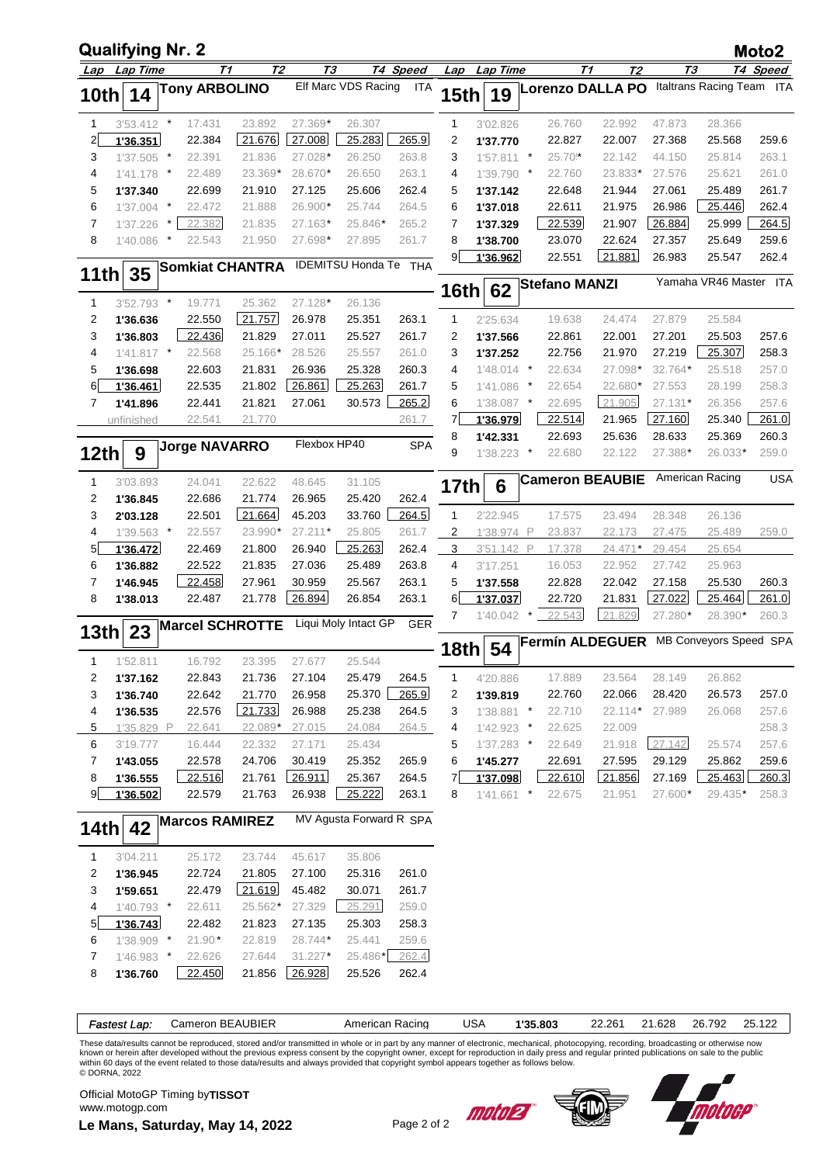|                  | <b>Qualifying Nr. 2</b> |        |                      |                        |              |                              |            |             |                      |          |                      |                         |                   |                           | Moto2          |
|------------------|-------------------------|--------|----------------------|------------------------|--------------|------------------------------|------------|-------------|----------------------|----------|----------------------|-------------------------|-------------------|---------------------------|----------------|
|                  | Lap Lap Time            |        |                      | T2<br>T1               | Т3           |                              | T4 Speed   |             | Lap Lap Time         |          | T1                   | Т2                      | TЗ                |                           | T4 Speed       |
| 10th             | 14                      |        | <b>Tony ARBOLINO</b> |                        |              | Elf Marc VDS Racing          | <b>ITA</b> | <b>15th</b> | 19                   |          |                      | <b>Lorenzo DALLA PO</b> |                   | Italtrans Racing Team ITA |                |
| $\mathbf{1}$     | $3'53.412$ *            |        | 17.431               | 23.892                 | 27.369*      | 26.307                       |            | 1           | 3'02.826             |          | 26.760               | 22.992                  | 47.873            | 28.366                    |                |
| $\overline{2}$   | 1'36.351                |        | 22.384               | 21.676                 | 27.008       | 25.283                       | 265.9      | 2           | 1'37.770             |          | 22.827               | 22.007                  | 27.368            | 25.568                    | 259.6          |
| 3                | $1'37.505$ *            |        | 22.391               | 21.836                 | 27.028*      | 26.250                       | 263.8      | 3           | 1'57.811             | $\cdot$  | 25.70*               | 22.142                  | 44.150            | 25.814                    | 263.1          |
| 4                | 1'41.178 *              |        | 22.489               | 23.369*                | 28.670*      | 26.650                       | 263.1      | 4           | 1'39.790             | $\ast$   | 22.760               | 23.833*                 | 27.576            | 25.621                    | 261.0          |
| 5                | 1'37.340                |        | 22.699               | 21.910                 | 27.125       | 25.606                       | 262.4      | 5           | 1'37.142             |          | 22.648               | 21.944                  | 27.061            | 25.489                    | 261.7          |
| 6                | $1'37.004$ *            |        | 22.472               | 21.888                 | 26.900*      | 25.744                       | 264.5      | 6           | 1'37.018             |          | 22.611               | 21.975                  | 26.986            | 25.446                    | 262.4          |
| 7                | 1'37.226                | $\ast$ | 22.382               | 21.835                 | 27.163*      | 25.846*                      | 265.2      | 7           | 1'37.329             |          | 22.539               | 21.907                  | 26.884            | 25.999                    | 264.5          |
| 8                | 1'40.086                | $\ast$ | 22.543               | 21.950                 | 27.698*      | 27.895                       | 261.7      | 8           | 1'38.700             |          | 23.070               | 22.624                  | 27.357            | 25.649                    | 259.6          |
| <b>11th</b>      | 35                      |        |                      | <b>Somkiat CHANTRA</b> |              | <b>IDEMITSU Honda Te THA</b> |            | 9           | 1'36.962             |          | 22.551               | 21.881                  | 26.983            | 25.547                    | 262.4          |
|                  |                         |        |                      |                        |              |                              |            | 16th        | 62                   |          | <b>Stefano MANZI</b> |                         |                   | Yamaha VR46 Master ITA    |                |
| 1                | 3'52.793 *              |        | 19.771               | 25.362<br>21.757       | 27.128*      | 26.136                       |            |             |                      |          |                      |                         |                   |                           |                |
| 2                | 1'36.636                |        | 22.550               |                        | 26.978       | 25.351                       | 263.1      | 1           | 2'25.634             |          | 19.638               | 24.474                  | 27.879<br>27.201  | 25.584<br>25.503          |                |
| 3                | 1'36.803                |        | 22.436               | 21.829                 | 27.011       | 25.527                       | 261.7      | 2           | 1'37.566             |          | 22.861               | 22.001                  |                   |                           | 257.6          |
| 4                | $1'41.817$ *            |        | 22.568               | 25.166*                | 28.526       | 25.557                       | 261.0      | 3           | 1'37.252             |          | 22.756               | 21.970                  | 27.219            | 25.307                    | 258.3          |
| 5                | 1'36.698                |        | 22.603               | 21.831                 | 26.936       | 25.328                       | 260.3      | 4           | $1'48.014$ *         |          | 22.634               | 27.098*                 | 32.764*           | 25.518                    | 257.0          |
| 6                | 1'36.461                |        | 22.535               | 21.802                 | 26.861       | 25.263                       | 261.7      | 5           | 1'41.086             | $\ast$   | 22.654               | 22.680*                 | 27.553            | 28.199                    | 258.3          |
| 7                | 1'41.896                |        | 22.441               | 21.821                 | 27.061       | 30.573                       | 265.2      | 6           | 1'38.087 *           |          | 22.695               | 21.905                  | 27.131*           | 26.356                    | 257.6          |
|                  | unfinished              |        | 22.541               | 21.770                 |              |                              | 261.7      | 7           | 1'36.979             |          | 22.514               | 21.965                  | 27.160            | 25.340                    | 261.0          |
|                  |                         |        | <b>Jorge NAVARRO</b> |                        | Flexbox HP40 |                              | <b>SPA</b> | 8<br>9      | 1'42.331             | $\star$  | 22.693               | 25.636                  | 28.633            | 25.369                    | 260.3          |
| 12 <sub>th</sub> | 9                       |        |                      |                        |              |                              |            |             | 1'38.223             |          | 22.680               | 22.122                  | 27.388*           | 26.033*                   | 259.0          |
| 1                | 3'03.893                |        | 24.041               | 22.622                 | 48.645       | 31.105                       |            | 17th        | 6                    |          |                      | <b>Cameron BEAUBIE</b>  |                   | American Racing           | <b>USA</b>     |
| 2                | 1'36.845                |        | 22.686               | 21.774                 | 26.965       | 25.420                       | 262.4      |             |                      |          |                      |                         |                   |                           |                |
| 3                | 2'03.128                |        | 22.501               | 21.664                 | 45.203       | 33.760                       | 264.5      | 1           | 2'22.945             |          | 17.575               | 23.494                  | 28.348            | 26.136                    |                |
| 4                | $1'39.563$ *            |        | 22.557               | 23.990*                | $27.211*$    | 25.805                       | 261.7      | 2           | 1'38.974             | P        | 23.837               | 22.173                  | 27.475            | 25.489                    | 259.0          |
| 5                | 1'36.472                |        | 22.469               | 21.800                 | 26.940       | 25.263                       | 262.4      | 3           | 3'51.142 P           |          | 17.378               | 24.471*                 | 29.454            | 25.654                    |                |
| 6                | 1'36.882                |        | 22.522               | 21.835                 | 27.036       | 25.489                       | 263.8      | 4           | 3'17.251             |          | 16.053               | 22.952                  | 27.742            | 25.963                    |                |
| 7                | 1'46.945                |        | 22.458               | 27.961                 | 30.959       | 25.567                       | 263.1      | 5           | 1'37.558             |          | 22.828               | 22.042                  | 27.158            | 25.530                    | 260.3          |
| 8                | 1'38.013                |        | 22.487               | 21.778                 | 26.894       | 26.854                       | 263.1      | 6<br>7      | 1'37.037<br>1'40.042 |          | 22.720<br>22.543     | 21.831<br>21.829        | 27.022<br>27.280* | 25.464<br>28.390*         | 261.0<br>260.3 |
| 13th             | 23                      |        |                      | <b>Marcel SCHROTTE</b> |              | Liqui Moly Intact GP         | GER        |             |                      |          |                      | <b>Fermín ALDEGUER</b>  |                   | MB Conveyors Speed SPA    |                |
|                  | 1'52.811                |        | 16.792               | 23.395                 | 27.677       | 25.544                       |            | 18th        | 54                   |          |                      |                         |                   |                           |                |
| 2                | 1'37.162                |        | 22.843               | 21.736                 | 27.104       | 25.479                       | 264.5      | 1           | 4'20.886             |          | 17.889               | 23.564                  | 28.149            | 26.862                    |                |
| 3                | 1'36.740                |        | 22.642               | 21.770                 | 26.958       | 25.370                       | 265.9      | 2           | 1'39.819             |          | 22.760               | 22.066                  | 28.420            | 26.573                    | 257.0          |
| 4                | 1'36.535                |        | 22.576               | 21.733                 | 26.988       | 25.238                       | 264.5      | 3           | $1'38.881$ *         |          | 22.710               | 22.114* 27.989          |                   | 26.068                    | 257.6          |
| $\overline{5}$   | 1'35.829 P              |        | 22.641               | 22.089*                | 27.015       | 24.084                       | 264.5      | 4           | $1'42.923$ *         |          | 22.625               | 22.009                  |                   |                           | 258.3          |
| 6                | 3'19.777                |        | 16.444               | 22.332                 | 27.171       | 25.434                       |            | 5           | $1'37.283$ *         |          | 22.649               | 21.918                  | 27.142            | 25.574                    | 257.6          |
| 7                | 1'43.055                |        | 22.578               | 24.706                 | 30.419       | 25.352                       | 265.9      | 6           | 1'45.277             |          | 22.691               | 27.595                  | 29.129            | 25.862                    | 259.6          |
| 8                | 1'36.555                |        | 22.516               | 21.761                 | 26.911       | 25.367                       | 264.5      | 7           | 1'37.098             |          | 22.610               | 21.856                  | 27.169            | 25.463                    | 260.3          |
| 9                | 1'36.502                |        | 22.579               | 21.763                 | 26.938       | 25.222                       | 263.1      | 8           | $1'41.661$ *         |          | 22.675               | 21.951                  | 27.600*           | 29.435*                   | 258.3          |
| 14th             | 42                      |        |                      | <b>Marcos RAMIREZ</b>  |              | MV Agusta Forward R SPA      |            |             |                      |          |                      |                         |                   |                           |                |
| $\mathbf{1}$     | 3'04.211                |        | 25.172               | 23.744                 | 45.617       | 35.806                       |            |             |                      |          |                      |                         |                   |                           |                |
| 2                | 1'36.945                |        | 22.724               | 21.805                 | 27.100       | 25.316                       | 261.0      |             |                      |          |                      |                         |                   |                           |                |
| 3                | 1'59.651                |        | 22.479               | 21.619                 | 45.482       | 30.071                       | 261.7      |             |                      |          |                      |                         |                   |                           |                |
| 4                | 1'40.793 *              |        | 22.611               | 25.562*                | 27.329       | 25.291                       | 259.0      |             |                      |          |                      |                         |                   |                           |                |
| $5 \mid$         | 1'36.743                |        | 22.482               | 21.823                 | 27.135       | 25.303                       | 258.3      |             |                      |          |                      |                         |                   |                           |                |
| 6                | 1'38.909 *              |        | $21.90*$             | 22.819                 | 28.744*      | 25.441                       | 259.6      |             |                      |          |                      |                         |                   |                           |                |
| 7                | 1'46.983 *              |        | 22.626               | 27.644                 | $31.227*$    | 25.486*                      | 262.4      |             |                      |          |                      |                         |                   |                           |                |
| 8                | 1'36.760                |        | 22.450               | 21.856                 | 26.928       | 25.526                       | 262.4      |             |                      |          |                      |                         |                   |                           |                |
|                  |                         |        |                      |                        |              |                              |            |             |                      |          |                      |                         |                   |                           |                |
|                  |                         |        |                      |                        |              |                              |            |             |                      |          |                      |                         |                   |                           |                |
|                  | Fastest Lap:            |        |                      | Cameron BEAUBIER       |              | American Racing              |            | <b>USA</b>  |                      | 1'35.803 |                      | 22.261                  | 21.628            | 26.792                    | 25.122         |

These data/results cannot be reproduced, stored and/or transmitted in whole or in part by any manner of electronic, mechanical, photocopying, recording, broadcasting or otherwise now<br>known or herein after developed without © DORNA, 2022

**Le Mans, Saturday, May 14, 2022** Page 2 of 2 Official MotoGP Timing by **TISSOT**www.motogp.com



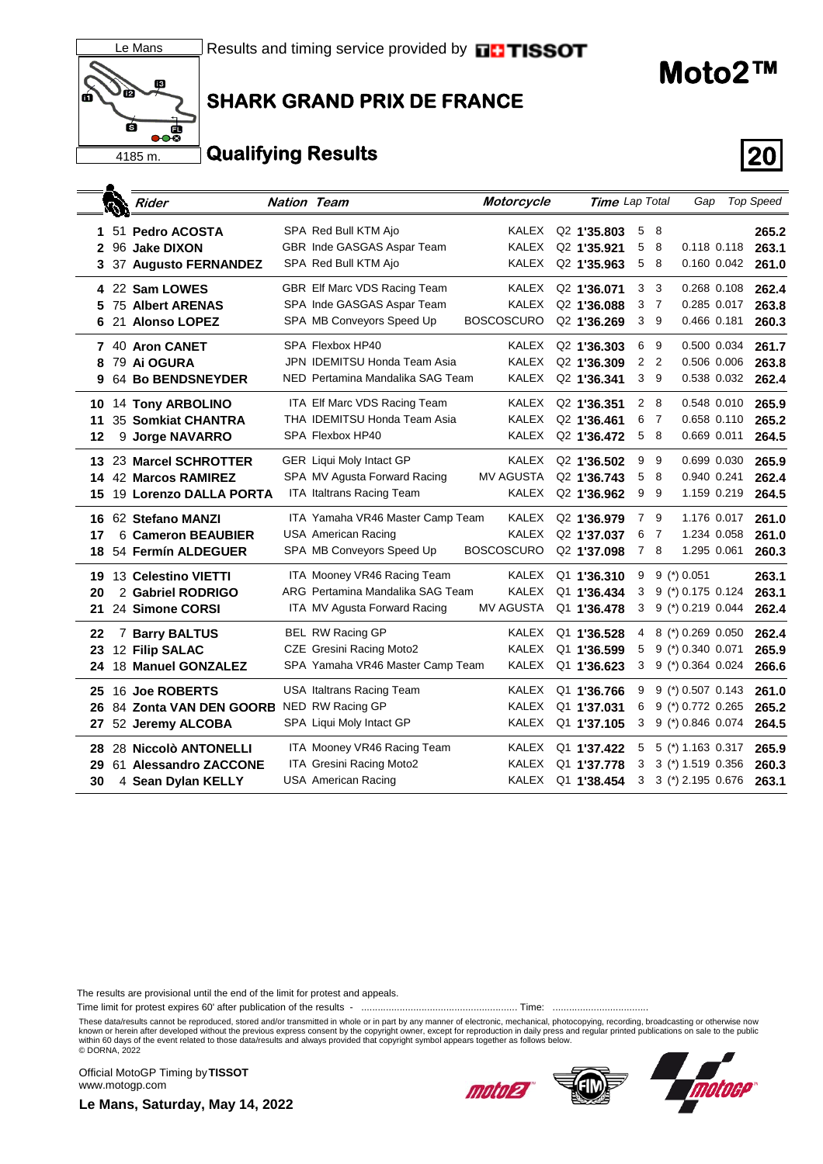

#### ब्रि  $\overline{\mathbf{e}}$ 4185 m.

### **SHARK GRAND PRIX DE FRANCE**

## **Qualifying Results 20**

|    | D | Rider                       | <b>Nation Team</b> |                                  | Motorcycle        | Time Lap Total          |                |                | Gap                 |             | <b>Top Speed</b> |
|----|---|-----------------------------|--------------------|----------------------------------|-------------------|-------------------------|----------------|----------------|---------------------|-------------|------------------|
| 1  |   | 51 Pedro ACOSTA             |                    | SPA Red Bull KTM Ajo             | KALEX             | Q <sub>2</sub> 1'35.803 | 5              | - 8            |                     |             | 265.2            |
| 2  |   | 96 Jake DIXON               |                    | GBR Inde GASGAS Aspar Team       | KALEX             | Q2 1'35.921             | 5              | 8              |                     | 0.118 0.118 | 263.1            |
| 3  |   | <b>37 Augusto FERNANDEZ</b> |                    | SPA Red Bull KTM Ajo             | KALEX             | Q2 1'35.963             | 5              | 8              |                     | 0.160 0.042 | 261.0            |
|    |   |                             |                    |                                  |                   |                         |                |                |                     |             |                  |
|    |   | 4 22 Sam LOWES              |                    | GBR Elf Marc VDS Racing Team     | KALEX             | Q <sub>2</sub> 1'36,071 | 3              | 3              | 0.268 0.108         |             | 262.4            |
|    |   | <b>75 Albert ARENAS</b>     |                    | SPA Inde GASGAS Aspar Team       | <b>KALEX</b>      | Q <sub>2</sub> 1'36,088 | 3              | 7              | 0.285 0.017         |             | 263.8            |
| 6  |   | 21 Alonso LOPEZ             |                    | SPA MB Conveyors Speed Up        | <b>BOSCOSCURO</b> | Q <sub>2</sub> 1'36,269 | 3              | - 9            | 0.466 0.181         |             | 260.3            |
|    |   | 7 40 Aron CANET             |                    | SPA Flexbox HP40                 | <b>KALEX</b>      | Q <sub>2</sub> 1'36,303 | 6              | 9              | 0.500 0.034         |             | 261.7            |
| 8  |   | 79 Ai OGURA                 |                    | JPN IDEMITSU Honda Team Asia     | <b>KALEX</b>      | Q <sub>2</sub> 1'36.309 | 2              | $\overline{2}$ | 0.506 0.006         |             | 263.8            |
| 9  |   | <b>64 Bo BENDSNEYDER</b>    |                    | NED Pertamina Mandalika SAG Team | <b>KALEX</b>      | Q2 1'36.341             | 3 <sub>9</sub> |                |                     | 0.538 0.032 | 262.4            |
| 10 |   | 14 Tony ARBOLINO            |                    | ITA Elf Marc VDS Racing Team     | KALEX             | Q2 1'36.351             | 2              | - 8            | 0.548 0.010         |             | 265.9            |
| 11 |   | 35 Somkiat CHANTRA          |                    | THA IDEMITSU Honda Team Asia     | KALEX             | Q <sub>2</sub> 1'36.461 | 6              | -7             | 0.658 0.110         |             | 265.2            |
| 12 |   | 9 Jorge NAVARRO             |                    | SPA Flexbox HP40                 | <b>KALEX</b>      | Q2 1'36.472             | 5              | - 8            | 0.669 0.011         |             | 264.5            |
| 13 |   | 23 Marcel SCHROTTER         |                    | <b>GER Liqui Moly Intact GP</b>  | <b>KALEX</b>      | Q <sub>2</sub> 1'36,502 | 9              | 9              | 0.699 0.030         |             | 265.9            |
| 14 |   | <b>42 Marcos RAMIREZ</b>    |                    | SPA MV Agusta Forward Racing     | <b>MV AGUSTA</b>  | Q2 1'36.743             | 5              | 8              | 0.940 0.241         |             | 262.4            |
| 15 |   | 19 Lorenzo DALLA PORTA      |                    | ITA Italtrans Racing Team        | <b>KALEX</b>      | Q2 1'36.962             | 9              | - 9            | 1.159 0.219         |             | 264.5            |
|    |   |                             |                    |                                  |                   |                         |                |                |                     |             |                  |
| 16 |   | 62 Stefano MANZI            |                    | ITA Yamaha VR46 Master Camp Team | <b>KALEX</b>      | Q2 1'36.979             | $7^{\circ}$    | 9              |                     | 1.176 0.017 | 261.0            |
| 17 |   | 6 Cameron BEAUBIER          |                    | <b>USA American Racing</b>       | <b>KALEX</b>      | Q2 1'37.037             | 6              | 7              | 1.234 0.058         |             | 261.0            |
| 18 |   | 54 Fermín ALDEGUER          |                    | SPA MB Conveyors Speed Up        | <b>BOSCOSCURO</b> | Q <sub>2</sub> 1'37,098 |                | 7 8            | 1.295 0.061         |             | 260.3            |
| 19 |   | 13 Celestino VIETTI         |                    | ITA Mooney VR46 Racing Team      | <b>KALEX</b>      | Q1 1'36.310             | 9              |                | $9$ (*) 0.051       |             | 263.1            |
| 20 |   | 2 Gabriel RODRIGO           |                    | ARG Pertamina Mandalika SAG Team | KALEX             | Q1 1'36,434             | 3              |                | 9 (*) 0.175 0.124   |             | 263.1            |
| 21 |   | 24 Simone CORSI             |                    | ITA MV Agusta Forward Racing     | <b>MV AGUSTA</b>  | Q1 1'36.478             | 3              |                | 9 (*) 0.219 0.044   |             | 262.4            |
| 22 |   | 7 Barry BALTUS              |                    | BEL RW Racing GP                 | KALEX             | Q1 1'36.528             | 4              |                | 8 (*) 0.269 0.050   |             | 262.4            |
| 23 |   | 12 Filip SALAC              |                    | CZE Gresini Racing Moto2         | <b>KALEX</b>      | Q1 1'36.599             | 5              |                | 9 (*) 0.340 0.071   |             | 265.9            |
| 24 |   | 18 Manuel GONZALEZ          |                    | SPA Yamaha VR46 Master Camp Team | <b>KALEX</b>      | Q1 1'36.623             | 3              |                | $9$ (*) 0.364 0.024 |             | 266.6            |
| 25 |   | 16 Joe ROBERTS              |                    | USA Italtrans Racing Team        | <b>KALEX</b>      | Q1 1'36.766             | 9              |                | 9 (*) 0.507 0.143   |             | 261.0            |
| 26 |   | 84 Zonta VAN DEN GOORB      |                    | NED RW Racing GP                 | KALEX             | Q1 1'37.031             | 6              |                | 9 (*) 0.772 0.265   |             | 265.2            |
| 27 |   | 52 Jeremy ALCOBA            |                    | SPA Liqui Moly Intact GP         | <b>KALEX</b>      | Q1 1'37.105             | 3              |                | 9 (*) 0.846 0.074   |             | 264.5            |
| 28 |   | 28 Niccolò ANTONELLI        |                    | ITA Mooney VR46 Racing Team      | KALEX             | Q1 1'37,422             | 5              |                | $5$ (*) 1.163 0.317 |             | 265.9            |
| 29 |   | 61 Alessandro ZACCONE       |                    | ITA Gresini Racing Moto2         | KALEX             | Q1 1'37.778             | 3              |                | $3$ (*) 1.519 0.356 |             | 260.3            |
| 30 |   | 4 Sean Dylan KELLY          |                    | <b>USA American Racing</b>       | KALEX             | Q1 1'38.454             | 3              |                | 3 (*) 2.195 0.676   |             | 263.1            |
|    |   |                             |                    |                                  |                   |                         |                |                |                     |             |                  |

The results are provisional until the end of the limit for protest and appeals.

Time limit for protest expires 60' after publication of the results - ......................................................... Time: ...................................

These data/results cannot be reproduced, stored and/or transmitted in whole or in part by any manner of electronic, mechanical, photocopying, recording, broadcasting or otherwise now known or herein after developed without the previous express consent by the copyright owner, except for reproduction in daily press and regular printed publications on sale to the public<br>within 60 days of the event related

Official MotoGP Timing by **TISSOT**www.motogp.com





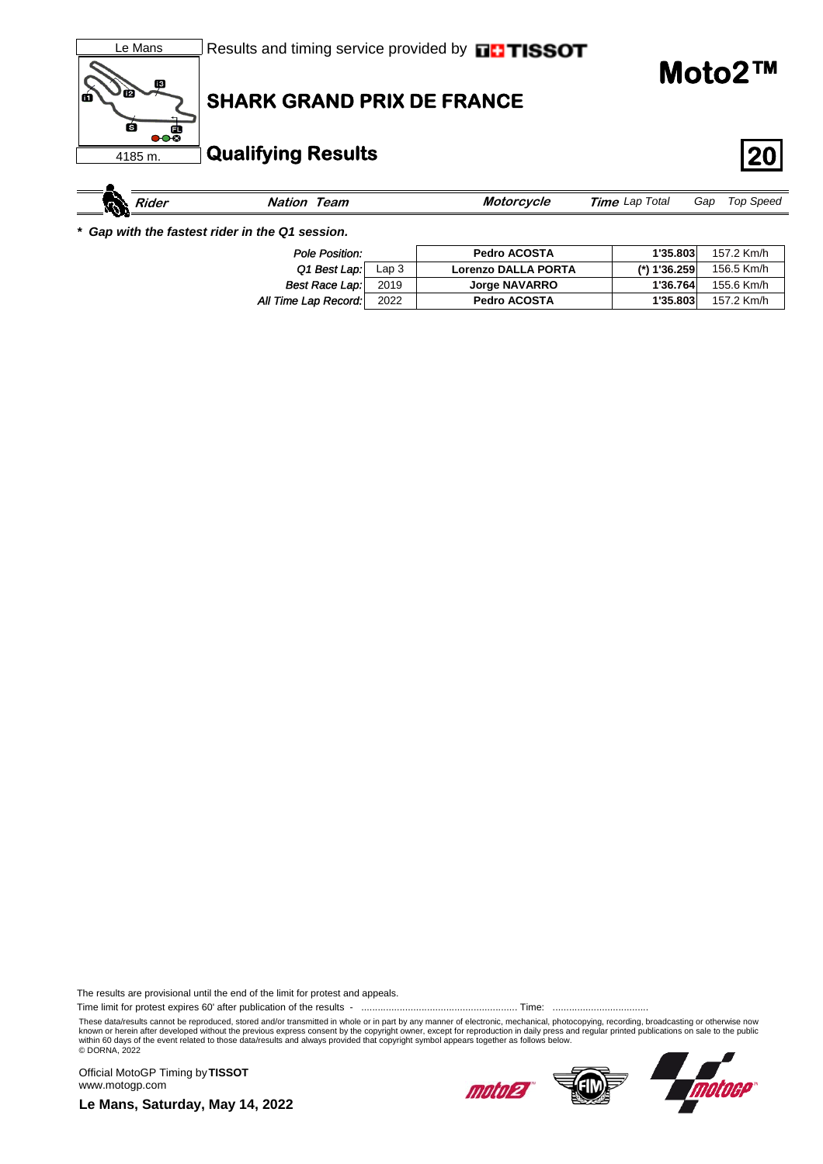

| кN | <i>sider</i> | eam | Moi<br>cvcie | Total<br>Lap<br>Time | Gap | Speed<br>l oc |
|----|--------------|-----|--------------|----------------------|-----|---------------|
|    | . .          |     |              |                      |     |               |

*\* Gap with the fastest rider in the Q1 session.*

| Pole Position:        |                  | <b>Pedro ACOSTA</b>        | 1'35.803     | 157.2 Km/h |
|-----------------------|------------------|----------------------------|--------------|------------|
| Q1 Best Lap:          | Lap <sub>3</sub> | <b>Lorenzo DALLA PORTA</b> | (*) 1'36.259 | 156.5 Km/h |
| <b>Best Race Lap:</b> | 2019             | <b>Jorge NAVARRO</b>       | 1'36.764     | 155.6 Km/h |
| All Time Lap Record:  | 2022             | <b>Pedro ACOSTA</b>        | 1'35.803     | 157.2 Km/h |

The results are provisional until the end of the limit for protest and appeals.

Time limit for protest expires 60' after publication of the results - ......................................................... Time: ...................................

These data/results cannot be reproduced, stored and/or transmitted in whole or in part by any manner of electronic, mechanical, photocopying, recording, broadcasting or otherwise now known or herein after developed without the previous express consent by the copyright owner, except for reproduction in daily press and regular printed publications on sale to the public<br>within 60 days of the event related

Official MotoGP Timing by **TISSOT**www.motogp.com





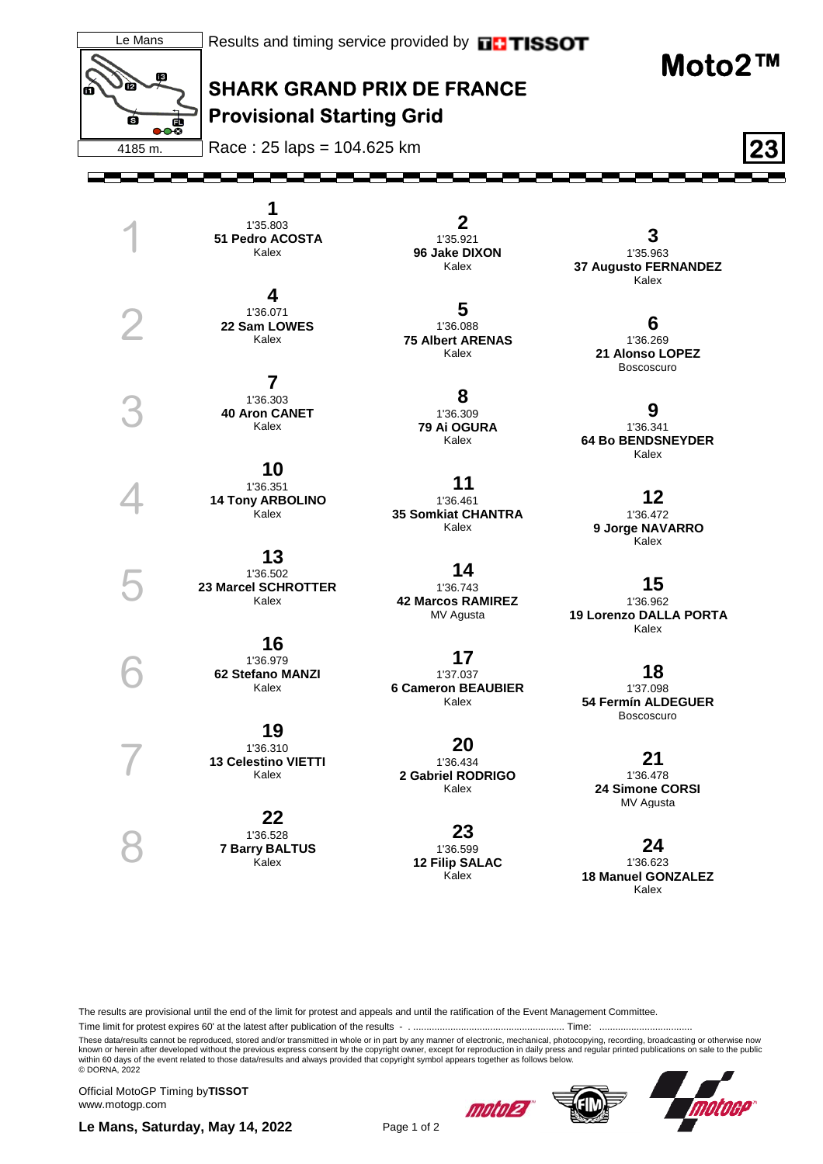

The results are provisional until the end of the limit for protest and appeals and until the ratification of the Event Management Committee.

Time limit for protest expires 60' at the latest after publication of the results - . ......................................................... Time: ...................................

These data/results cannot be reproduced, stored and/or transmitted in whole or in part by any manner of electronic, mechanical, photocopying, recording, broadcasting or otherwise now<br>known or herein after developed without © DORNA, 2022

Official MotoGP Timing by **TISSOT**www.motogp.com

Le Mans, Saturday, May 14, 2022 Page 1 of 2





motoep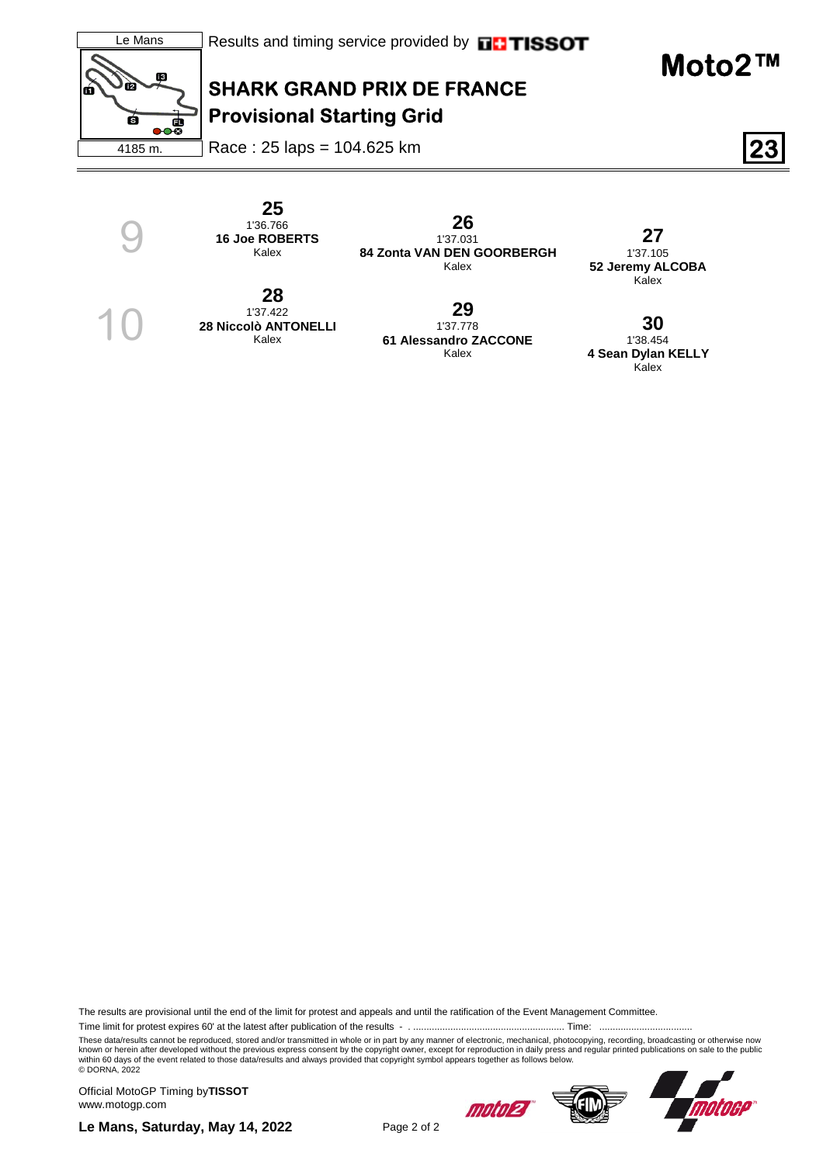

Race : 25 laps = 104.625 km **23**

 **25**  1'36.766 **16 Joe ROBERTS** Kalex

 **28**  1'37.422 **28 Niccolò ANTONELLI** Kalex

9

10

 **26**  1'37.031 **84 Zonta VAN DEN GOORBERGH** Kalex

 **27**  1'37.105 **52 Jeremy ALCOBA** Kalex

 **29**  1'37.778 **61 Alessandro ZACCONE** Kalex

 **30**  1'38.454 **4 Sean Dylan KELLY** Kalex

The results are provisional until the end of the limit for protest and appeals and until the ratification of the Event Management Committee.

Time limit for protest expires 60' at the latest after publication of the results - . ......................................................... Time: ...................................

These data/results cannot be reproduced, stored and/or transmitted in whole or in part by any manner of electronic, mechanical, photocopying, recording, broadcasting or otherwise now<br>known or herein after developed without © DORNA, 2022

Official MotoGP Timing by **TISSOT**www.motogp.com

moto27



**Le Mans, Saturday, May 14, 2022** Page 2 of 2

**Moto2™**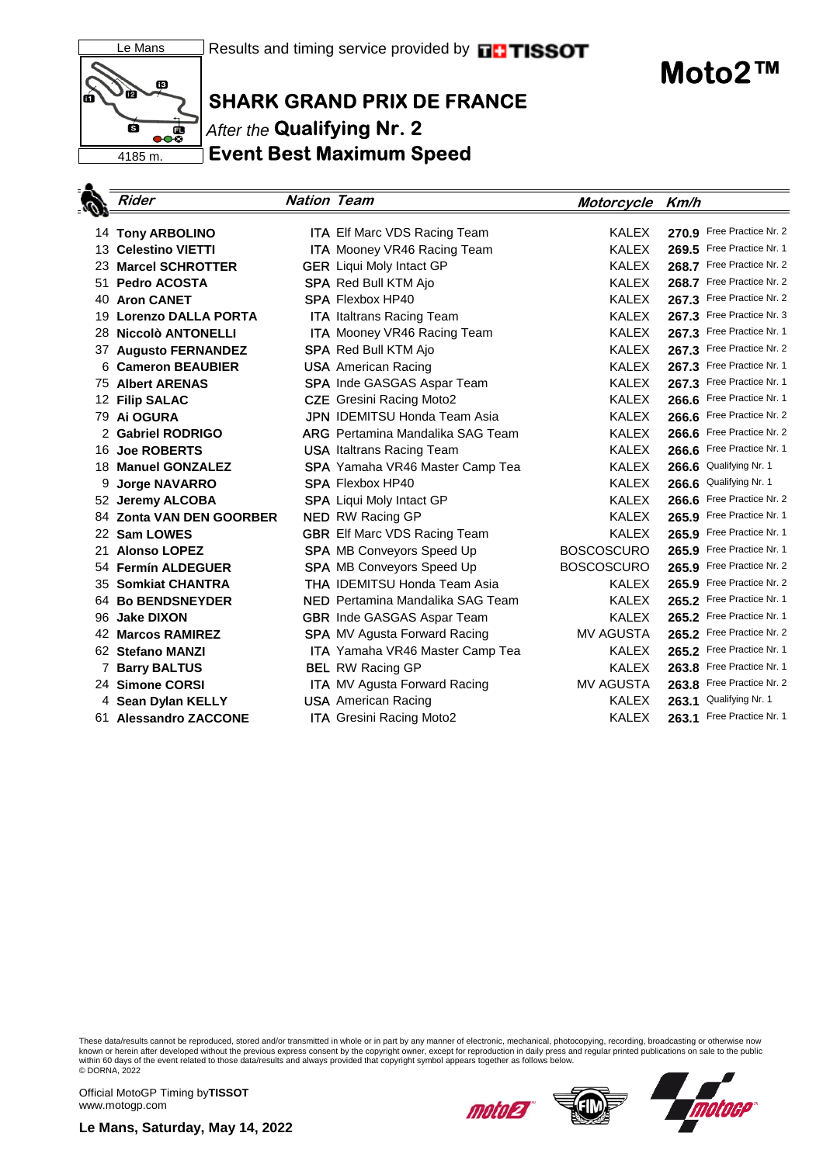

**Moto2™**

## **SHARK GRAND PRIX DE FRANCE** After the **Qualifying Nr. 2 Event Best Maximum Speed**

|    | <b>Rider</b>                             | <b>Nation Team</b> |                                                        | Motorcycle Km/h   |       |                           |
|----|------------------------------------------|--------------------|--------------------------------------------------------|-------------------|-------|---------------------------|
|    |                                          |                    | <b>ITA Elf Marc VDS Racing Team</b>                    | <b>KALEX</b>      |       | 270.9 Free Practice Nr. 2 |
|    | 14 Tony ARBOLINO<br>13 Celestino VIETTI  |                    |                                                        | <b>KALEX</b>      |       | 269.5 Free Practice Nr. 1 |
|    | 23 Marcel SCHROTTER                      |                    | <b>ITA</b> Mooney VR46 Racing Team                     | <b>KALEX</b>      |       | 268.7 Free Practice Nr. 2 |
| 51 |                                          |                    | <b>GER</b> Liqui Moly Intact GP                        | <b>KALEX</b>      |       | 268.7 Free Practice Nr. 2 |
| 40 | <b>Pedro ACOSTA</b><br><b>Aron CANET</b> |                    | <b>SPA</b> Red Bull KTM Ajo<br><b>SPA Flexbox HP40</b> | <b>KALEX</b>      |       | 267.3 Free Practice Nr. 2 |
|    |                                          |                    |                                                        |                   |       | 267.3 Free Practice Nr. 3 |
| 19 | <b>Lorenzo DALLA PORTA</b>               |                    | <b>ITA</b> Italtrans Racing Team                       | <b>KALEX</b>      |       | 267.3 Free Practice Nr. 1 |
|    | 28 Niccolò ANTONELLI                     |                    | <b>ITA</b> Mooney VR46 Racing Team                     | <b>KALEX</b>      |       |                           |
|    | 37 Augusto FERNANDEZ                     |                    | <b>SPA</b> Red Bull KTM Ajo                            | <b>KALEX</b>      |       | 267.3 Free Practice Nr. 2 |
|    | 6 Cameron BEAUBIER                       |                    | <b>USA</b> American Racing                             | <b>KALEX</b>      |       | 267.3 Free Practice Nr. 1 |
|    | <b>75 Albert ARENAS</b>                  |                    | <b>SPA</b> Inde GASGAS Aspar Team                      | <b>KALEX</b>      |       | 267.3 Free Practice Nr. 1 |
|    | 12 Filip SALAC                           |                    | <b>CZE</b> Gresini Racing Moto2                        | <b>KALEX</b>      |       | 266.6 Free Practice Nr. 1 |
|    | 79 Ai OGURA                              |                    | <b>JPN IDEMITSU Honda Team Asia</b>                    | <b>KALEX</b>      |       | 266.6 Free Practice Nr. 2 |
|    | 2 Gabriel RODRIGO                        |                    | <b>ARG</b> Pertamina Mandalika SAG Team                | <b>KALEX</b>      |       | 266.6 Free Practice Nr. 2 |
|    | 16 Joe ROBERTS                           |                    | <b>USA</b> Italtrans Racing Team                       | <b>KALEX</b>      |       | 266.6 Free Practice Nr. 1 |
|    | 18 Manuel GONZALEZ                       |                    | <b>SPA</b> Yamaha VR46 Master Camp Tea                 | <b>KALEX</b>      |       | 266.6 Qualifying Nr. 1    |
| 9  | <b>Jorge NAVARRO</b>                     |                    | <b>SPA</b> Flexbox HP40                                | <b>KALEX</b>      |       | 266.6 Qualifying Nr. 1    |
|    | 52 Jeremy ALCOBA                         |                    | <b>SPA</b> Liqui Moly Intact GP                        | <b>KALEX</b>      | 266.6 | Free Practice Nr. 2       |
|    | 84 Zonta VAN DEN GOORBER                 |                    | <b>NED</b> RW Racing GP                                | <b>KALEX</b>      |       | 265.9 Free Practice Nr. 1 |
|    | 22 Sam LOWES                             |                    | <b>GBR</b> Elf Marc VDS Racing Team                    | <b>KALEX</b>      |       | 265.9 Free Practice Nr. 1 |
| 21 | <b>Alonso LOPEZ</b>                      |                    | <b>SPA MB Conveyors Speed Up</b>                       | <b>BOSCOSCURO</b> |       | 265.9 Free Practice Nr. 1 |
|    | 54 Fermín ALDEGUER                       |                    | <b>SPA MB Conveyors Speed Up</b>                       | <b>BOSCOSCURO</b> |       | 265.9 Free Practice Nr. 2 |
|    | 35 Somkiat CHANTRA                       |                    | <b>THA IDEMITSU Honda Team Asia</b>                    | <b>KALEX</b>      |       | 265.9 Free Practice Nr. 2 |
|    | 64 Bo BENDSNEYDER                        |                    | <b>NED</b> Pertamina Mandalika SAG Team                | <b>KALEX</b>      |       | 265.2 Free Practice Nr. 1 |
| 96 | <b>Jake DIXON</b>                        |                    | <b>GBR</b> Inde GASGAS Aspar Team                      | <b>KALEX</b>      |       | 265.2 Free Practice Nr. 1 |
|    | 42 Marcos RAMIREZ                        |                    | <b>SPA</b> MV Agusta Forward Racing                    | MV AGUSTA         |       | 265.2 Free Practice Nr. 2 |
|    | 62 Stefano MANZI                         |                    | <b>ITA</b> Yamaha VR46 Master Camp Tea                 | <b>KALEX</b>      |       | 265.2 Free Practice Nr. 1 |
| 7  | <b>Barry BALTUS</b>                      |                    | <b>BEL</b> RW Racing GP                                | <b>KALEX</b>      |       | 263.8 Free Practice Nr. 1 |
|    | 24 Simone CORSI                          |                    | <b>ITA</b> MV Agusta Forward Racing                    | <b>MV AGUSTA</b>  |       | 263.8 Free Practice Nr. 2 |
|    | 4 Sean Dylan KELLY                       |                    | <b>USA</b> American Racing                             | KALEX             | 263.1 | Qualifying Nr. 1          |
|    | 61 Alessandro ZACCONE                    |                    | <b>ITA</b> Gresini Racing Moto2                        | <b>KALEX</b>      |       | 263.1 Free Practice Nr. 1 |

These data/results cannot be reproduced, stored and/or transmitted in whole or in part by any manner of electronic, mechanical, photocopying, recording, broadcasting or otherwise now<br>known or herein after developed without © DORNA, 2022

Official MotoGP Timing by **TISSOT**www.motogp.com

motoea

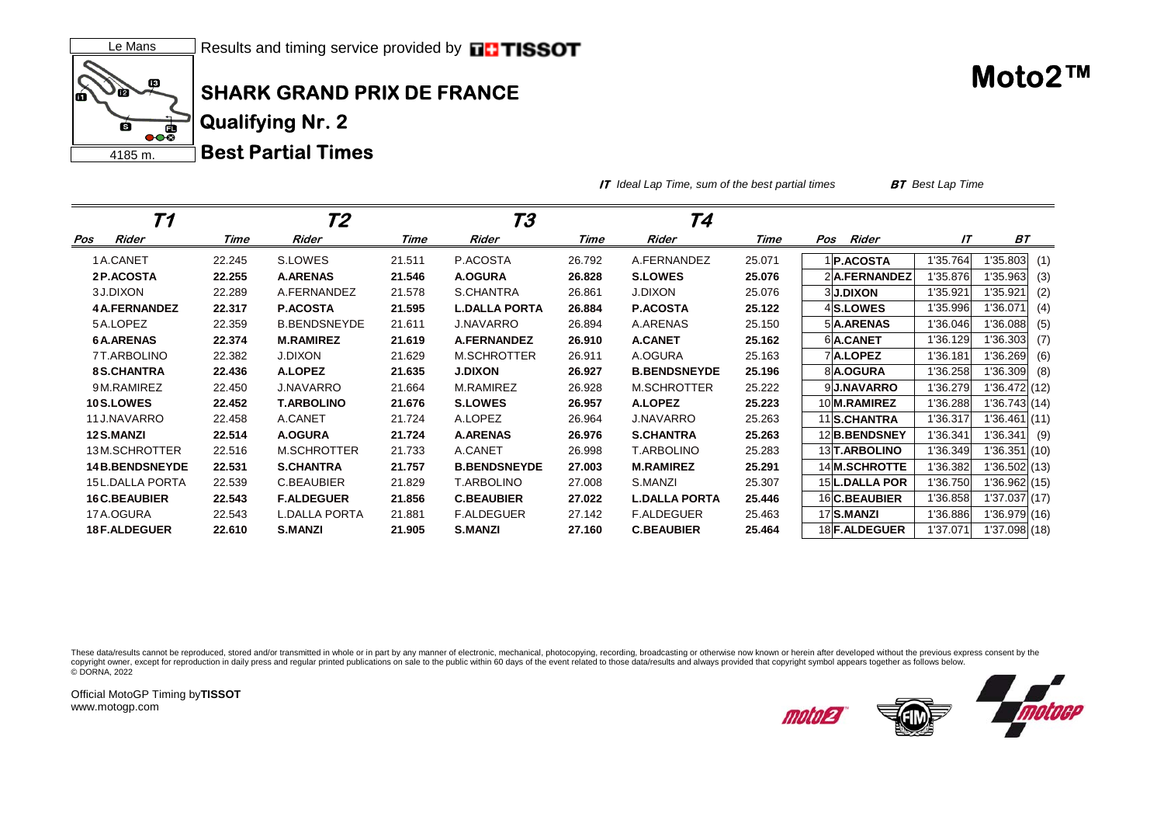

**IT** *Ideal Lap Time, sum of the best partial times* **BT** *Best Lap Time*

| Т1                     |        | Т2                   |        | Т3                   |        | T4                   |        |                      |          |               |     |
|------------------------|--------|----------------------|--------|----------------------|--------|----------------------|--------|----------------------|----------|---------------|-----|
| Rider<br>Pos           | Time   | Rider                | Time   | Rider                | Time   | Rider                | Time   | Rider<br>Pos         | IT       | <b>BT</b>     |     |
| 1A.CANET               | 22.245 | S.LOWES              | 21.511 | P.ACOSTA             | 26.792 | A.FERNANDEZ          | 25.071 | <b>P.ACOSTA</b>      | 1'35.764 | 35.803        | (1) |
| 2P.ACOSTA              | 22.255 | <b>A.ARENAS</b>      | 21.546 | <b>A.OGURA</b>       | 26.828 | <b>S.LOWES</b>       | 25.076 | 2A.FERNANDEZ         | 1'35.876 | '35.963       | (3) |
| 3 J.DIXON              | 22.289 | A.FERNANDEZ          | 21.578 | S.CHANTRA            | 26.861 | <b>J.DIXON</b>       | 25.076 | <b>3J.DIXON</b>      | 1'35.921 | 1'35.921      | (2) |
| <b>4A.FERNANDEZ</b>    | 22.317 | <b>P.ACOSTA</b>      | 21.595 | <b>L.DALLA PORTA</b> | 26.884 | <b>P.ACOSTA</b>      | 25.122 | 4S.LOWES             | 1'35.996 | '36.071       | (4) |
| 5A.LOPEZ               | 22.359 | <b>B.BENDSNEYDE</b>  | 21.611 | <b>J.NAVARRO</b>     | 26.894 | A.ARENAS             | 25.150 | 5 A.ARENAS           | 1'36.046 | '36.088       | (5) |
| <b>6A.ARENAS</b>       | 22.374 | <b>M.RAMIREZ</b>     | 21.619 | <b>A.FERNANDEZ</b>   | 26.910 | <b>A.CANET</b>       | 25.162 | 6A.CANET             | 1'36.129 | '36.303       | (7) |
| 7T.ARBOLINO            | 22.382 | <b>J.DIXON</b>       | 21.629 | M.SCHROTTER          | 26.911 | A.OGURA              | 25.163 | 7A.LOPEZ             | 1'36.181 | l'36.269      | (6) |
| <b>8S.CHANTRA</b>      | 22.436 | A.LOPEZ              | 21.635 | <b>J.DIXON</b>       | 26.927 | <b>B.BENDSNEYDE</b>  | 25.196 | 8A.OGURA             | 1'36.258 | '36.309       | (8) |
| 9M.RAMIREZ             | 22.450 | <b>J.NAVARRO</b>     | 21.664 | M.RAMIREZ            | 26.928 | <b>M.SCHROTTER</b>   | 25.222 | 9 J.NAVARRO          | 1'36.279 | 136.472(12)   |     |
| <b>10S.LOWES</b>       | 22.452 | <b>T.ARBOLINO</b>    | 21.676 | <b>S.LOWES</b>       | 26.957 | <b>A.LOPEZ</b>       | 25.223 | 10 M.RAMIREZ         | 1'36.288 | 136.743(14)   |     |
| 11 J.NAVARRO           | 22.458 | A.CANET              | 21.724 | A.LOPEZ              | 26.964 | <b>J.NAVARRO</b>     | 25.263 | 11 S.CHANTRA         | 1'36.317 | 136.461(11)   |     |
| 12 S.MANZI             | 22.514 | A.OGURA              | 21.724 | <b>A.ARENAS</b>      | 26.976 | <b>S.CHANTRA</b>     | 25.263 | 12 B.BENDSNEY        | 1'36.341 | 1'36.341      | (9) |
| 13M.SCHROTTER          | 22.516 | M.SCHROTTER          | 21.733 | A.CANET              | 26.998 | T.ARBOLINO           | 25.283 | 13 T. ARBOLINO       | 1'36.349 | 136.351(10)   |     |
| <b>14B.BENDSNEYDE</b>  | 22.531 | <b>S.CHANTRA</b>     | 21.757 | <b>B.BENDSNEYDE</b>  | 27.003 | <b>M.RAMIREZ</b>     | 25.291 | 14 M.SCHROTTE        | 1'36.382 | 36.502(13)    |     |
| <b>15L.DALLA PORTA</b> | 22.539 | C.BEAUBIER           | 21.829 | <b>T.ARBOLINO</b>    | 27.008 | S.MANZI              | 25.307 | 15 L.DALLA POR       | 1'36.750 | 36.962(15)    |     |
| <b>16 C.BEAUBIER</b>   | 22.543 | <b>F.ALDEGUER</b>    | 21.856 | <b>C.BEAUBIER</b>    | 27.022 | <b>L.DALLA PORTA</b> | 25.446 | 16 C.BEAUBIER        | 1'36.858 | '37.037 (17)  |     |
| 17 A.OGURA             | 22.543 | <b>L.DALLA PORTA</b> | 21.881 | <b>F.ALDEGUER</b>    | 27.142 | <b>F.ALDEGUER</b>    | 25.463 | 17 S.MANZI           | 1'36.886 | 36.979(16)    |     |
| <b>18 F.ALDEGUER</b>   | 22.610 | <b>S.MANZI</b>       | 21.905 | <b>S.MANZI</b>       | 27.160 | <b>C.BEAUBIER</b>    | 25.464 | 18 <b>F.ALDEGUER</b> | 1'37.071 | 1'37.098 (18) |     |

These data/results cannot be reproduced, stored and/or transmitted in whole or in part by any manner of electronic, mechanical, photocopying, recording, broadcasting or otherwise now known or herein after developed without copyright owner, except for reproduction in daily press and regular printed publications on sale to the public within 60 days of the event related to those data/results and always provided that copyright symbol appears tog © DORNA, 2022

Official MotoGP Timing by **TISSOT**www.motogp.com